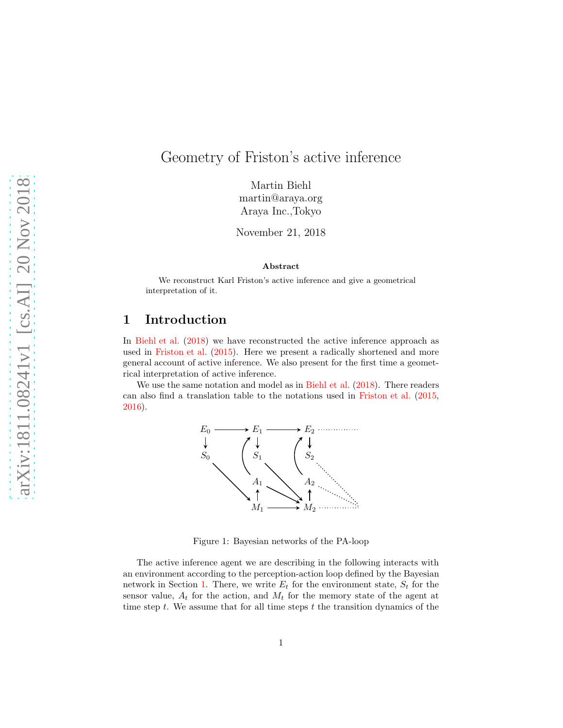# Geometry of Friston's active inference

Martin Biehl martin@araya.org Araya Inc.,Tokyo

November 21, 2018

#### Abstract

We reconstruct Karl Friston's active inference and give a geometrical interpretation of it.

#### <span id="page-0-0"></span>1 Introduction

In [Biehl et al.](#page-5-0) [\(2018](#page-5-0)) we have reconstructed the active inference approach as used in [Friston et al.](#page-5-1) [\(2015\)](#page-5-1). Here we present a radically shortened and more general account of active inference. We also present for the first time a geometrical interpretation of active inference.

We use the same notation and model as in [Biehl et al.](#page-5-0) [\(2018\)](#page-5-0). There readers can also find a translation table to the notations used in [Friston et al.](#page-5-1) [\(2015,](#page-5-1) [2016\)](#page-5-2).



<span id="page-0-1"></span>Figure 1: Bayesian networks of the PA-loop

The active inference agent we are describing in the following interacts with an environment according to the perception-action loop defined by the Bayesian network in Section [1.](#page-0-0) There, we write  $E_t$  for the environment state,  $S_t$  for the sensor value,  $A_t$  for the action, and  $M_t$  for the memory state of the agent at time step t. We assume that for all time steps  $t$  the transition dynamics of the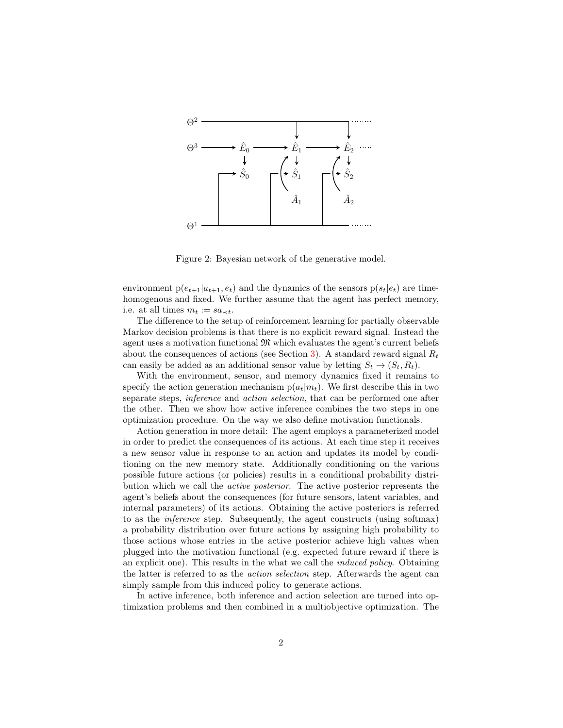

Figure 2: Bayesian network of the generative model.

environment  $p(e_{t+1}|a_{t+1}, e_t)$  and the dynamics of the sensors  $p(s_t|e_t)$  are timehomogenous and fixed. We further assume that the agent has perfect memory, i.e. at all times  $m_t := sa_{\prec t}$ .

The difference to the setup of reinforcement learning for partially observable Markov decision problems is that there is no explicit reward signal. Instead the agent uses a motivation functional  $\mathfrak{M}$  which evaluates the agent's current beliefs about the consequences of actions (see Section [3\)](#page-3-0). A standard reward signal  $R_t$ can easily be added as an additional sensor value by letting  $S_t \rightarrow (S_t, R_t)$ .

With the environment, sensor, and memory dynamics fixed it remains to specify the action generation mechanism  $p(a_t|m_t)$ . We first describe this in two separate steps, inference and action selection, that can be performed one after the other. Then we show how active inference combines the two steps in one optimization procedure. On the way we also define motivation functionals.

Action generation in more detail: The agent employs a parameterized model in order to predict the consequences of its actions. At each time step it receives a new sensor value in response to an action and updates its model by conditioning on the new memory state. Additionally conditioning on the various possible future actions (or policies) results in a conditional probability distribution which we call the active posterior. The active posterior represents the agent's beliefs about the consequences (for future sensors, latent variables, and internal parameters) of its actions. Obtaining the active posteriors is referred to as the inference step. Subsequently, the agent constructs (using softmax) a probability distribution over future actions by assigning high probability to those actions whose entries in the active posterior achieve high values when plugged into the motivation functional (e.g. expected future reward if there is an explicit one). This results in the what we call the induced policy. Obtaining the latter is referred to as the action selection step. Afterwards the agent can simply sample from this induced policy to generate actions.

In active inference, both inference and action selection are turned into optimization problems and then combined in a multiobjective optimization. The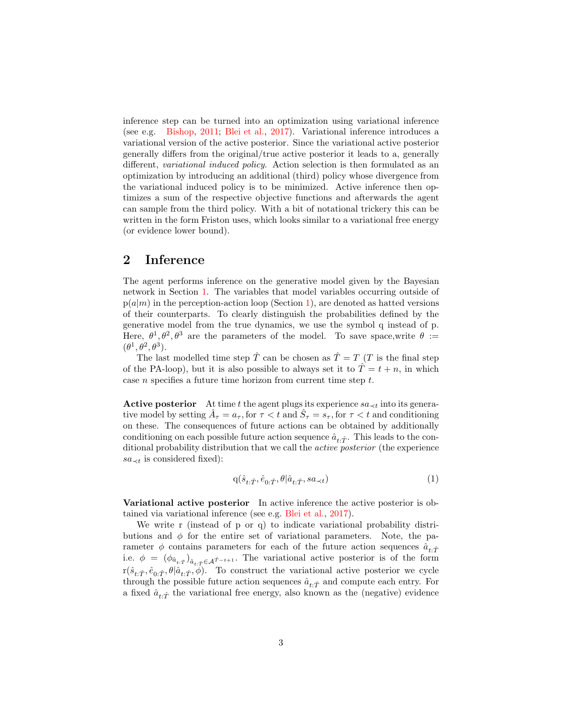inference step can be turned into an optimization using variational inference (see e.g. [Bishop,](#page-5-3) [2011;](#page-5-3) [Blei et al.](#page-5-4), [2017\)](#page-5-4). Variational inference introduces a variational version of the active posterior. Since the variational active posterior generally differs from the original/true active posterior it leads to a, generally different, variational induced policy. Action selection is then formulated as an optimization by introducing an additional (third) policy whose divergence from the variational induced policy is to be minimized. Active inference then optimizes a sum of the respective objective functions and afterwards the agent can sample from the third policy. With a bit of notational trickery this can be written in the form Friston uses, which looks similar to a variational free energy (or evidence lower bound).

### 2 Inference

The agent performs inference on the generative model given by the Bayesian network in Section [1.](#page-0-1) The variables that model variables occurring outside of  $p(a|m)$  in the perception-action loop (Section [1\)](#page-0-0), are denoted as hatted versions of their counterparts. To clearly distinguish the probabilities defined by the generative model from the true dynamics, we use the symbol q instead of p. Here,  $\theta^1, \theta^2, \theta^3$  are the parameters of the model. To save space, write  $\theta :=$  $(\theta^1, \theta^2, \theta^3).$ 

The last modelled time step  $\hat{T}$  can be chosen as  $\hat{T} = T$  (T is the final step of the PA-loop), but it is also possible to always set it to  $\hat{T} = t + n$ , in which case n specifies a future time horizon from current time step t.

Active posterior At time t the agent plugs its experience  $sa_{\prec t}$  into its generative model by setting  $\hat{A}_{\tau} = a_{\tau}$ , for  $\tau < t$  and  $\hat{S}_{\tau} = s_{\tau}$ , for  $\tau < t$  and conditioning on these. The consequences of future actions can be obtained by additionally conditioning on each possible future action sequence  $\hat{a}_{t,\hat{T}}$ . This leads to the conditional probability distribution that we call the active posterior (the experience  $sa_{\prec t}$  is considered fixed):

$$
q(\hat{s}_{t:\hat{T}}, \hat{e}_{0:\hat{T}}, \theta | \hat{a}_{t:\hat{T}}, s a_{\prec t})
$$
\n
$$
\tag{1}
$$

Variational active posterior In active inference the active posterior is obtained via variational inference (see e.g. [Blei et al.,](#page-5-4) [2017\)](#page-5-4).

We write r (instead of p or q) to indicate variational probability distributions and  $\phi$  for the entire set of variational parameters. Note, the parameter  $\phi$  contains parameters for each of the future action sequences  $\hat{a}_{t,\hat{T}}$ i.e.  $\phi = (\phi_{\hat{a}_{t:\hat{T}}})_{\hat{a}_{t:\hat{T}} \in \mathcal{A}^{\hat{T}-t+1}}$ . The variational active posterior is of the form  $r(\hat{s}_{t:\hat{T}}, \hat{e}_{0:\hat{T}}, \theta | \hat{a}_{t:\hat{T}}, \phi)$ . To construct the variational active posterior we cycle through the possible future action sequences  $\hat{a}_{t\cdot\hat{T}}$  and compute each entry. For a fixed  $\hat{a}_{t,\hat{T}}$  the variational free energy, also known as the (negative) evidence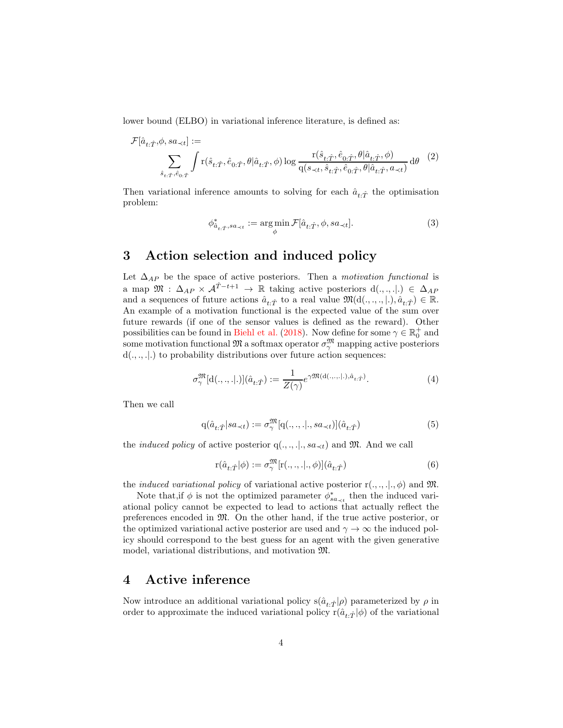lower bound (ELBO) in variational inference literature, is defined as:

$$
\mathcal{F}[\hat{a}_{t:\hat{T}},\phi, sa_{\prec t}] :=
$$
\n
$$
\sum_{\hat{s}_{t:\hat{T}},\hat{e}_{0:\hat{T}}} \int r(\hat{s}_{t:\hat{T}},\hat{e}_{0:\hat{T}},\theta | \hat{a}_{t:\hat{T}},\phi) \log \frac{r(\hat{s}_{t:\hat{T}},\hat{e}_{0:\hat{T}},\theta | \hat{a}_{t:\hat{T}},\phi)}{q(s_{\prec t},\hat{s}_{t:\hat{T}},\hat{e}_{0:\hat{T}},\theta | \hat{a}_{t:\hat{T}},a_{\prec t})} d\theta
$$
\n(2)

Then variational inference amounts to solving for each  $\hat{a}_{t,\hat{T}}$  the optimisation problem:

<span id="page-3-1"></span>
$$
\phi^*_{\hat{a}_{t:\hat{T}},sa_{\prec t}} := \underset{\phi}{\arg\min} \mathcal{F}[\hat{a}_{t:\hat{T}},\phi, sa_{\prec t}]. \tag{3}
$$

## <span id="page-3-0"></span>3 Action selection and induced policy

Let  $\Delta_{AP}$  be the space of active posteriors. Then a *motivation functional* is a map  $\mathfrak{M}$  :  $\Delta_{AP} \times \mathcal{A}^{\hat{T}-t+1} \rightarrow \mathbb{R}$  taking active posteriors  $d(.,.,.) \in \Delta_{AP}$ and a sequences of future actions  $\hat{a}_{t:\hat{T}}$  to a real value  $\mathfrak{M}(\mathrm{d}(.,\cdot,.,|.), \hat{a}_{t:\hat{T}}) \in \mathbb{R}$ . An example of a motivation functional is the expected value of the sum over future rewards (if one of the sensor values is defined as the reward). Other possibilities can be found in [Biehl et al.](#page-5-0) [\(2018\)](#page-5-0). Now define for some  $\gamma \in \mathbb{R}^+_0$  and some motivation functional  $\mathfrak{M}$  a softmax operator  $\sigma_{\gamma}^{\mathfrak{M}}$  mapping active posteriors  $d(.,., .).$ ) to probability distributions over future action sequences:

$$
\sigma_{\gamma}^{\mathfrak{M}}[\mathbf{d}(.,.,.].)](\hat{a}_{t:\hat{T}}) := \frac{1}{Z(\gamma)} e^{\gamma \mathfrak{M}(\mathbf{d}(.,.,.).),\hat{a}_{t:\hat{T}})}.
$$
\n(4)

Then we call

$$
\mathbf{q}(\hat{a}_{t:\hat{T}}|sa_{\prec t}) := \sigma_{\gamma}^{\mathfrak{M}}[\mathbf{q}(.,.,.|.,sa_{\prec t})](\hat{a}_{t:\hat{T}})
$$
\n
$$
(5)
$$

the *induced policy* of active posterior  $q(., ., .], sa_{\prec t})$  and M. And we call

$$
\mathbf{r}(\hat{a}_{t:\hat{T}}|\phi) := \sigma_{\gamma}^{\mathfrak{M}}[\mathbf{r}(\cdot,\cdot,\cdot|\cdot,\phi)](\hat{a}_{t:\hat{T}})
$$
\n(6)

the *induced variational policy* of variational active posterior  $r(., ., .], \phi)$  and  $\mathfrak{M}$ .

Note that, if  $\phi$  is not the optimized parameter  $\phi_{sa_{\prec t}}^*$  then the induced variational policy cannot be expected to lead to actions that actually reflect the preferences encoded in M. On the other hand, if the true active posterior, or the optimized variational active posterior are used and  $\gamma \to \infty$  the induced policy should correspond to the best guess for an agent with the given generative model, variational distributions, and motivation M.

#### 4 Active inference

Now introduce an additional variational policy s( $\hat{a}_{t,\hat{T}}|\rho$ ) parameterized by  $\rho$  in order to approximate the induced variational policy  $r(\hat{a}_{t,\hat{T}}|\phi)$  of the variational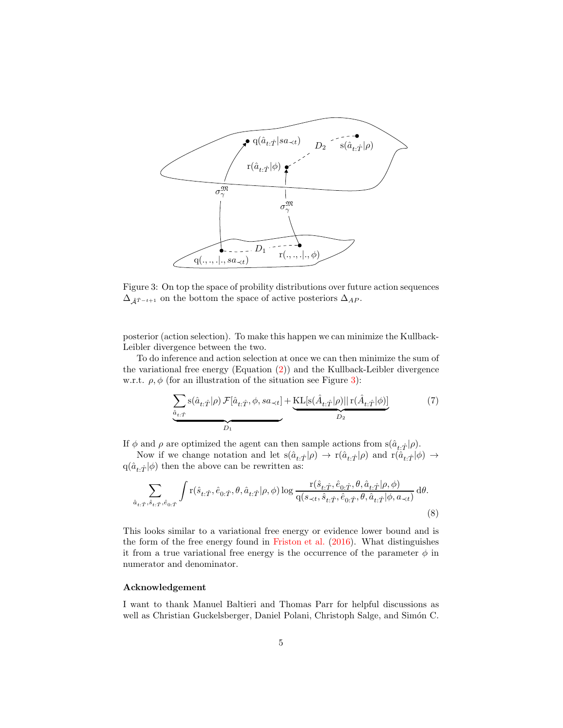

<span id="page-4-0"></span>Figure 3: On top the space of probility distributions over future action sequences  $\Delta_{\hat{A}^{\hat{T}-t+1}}$  on the bottom the space of active posteriors  $\Delta_{AP}$ .

posterior (action selection). To make this happen we can minimize the Kullback-Leibler divergence between the two.

To do inference and action selection at once we can then minimize the sum of the variational free energy (Equation [\(2\)](#page-3-1)) and the Kullback-Leibler divergence w.r.t.  $\rho, \phi$  (for an illustration of the situation see Figure [3\)](#page-4-0):

$$
\underbrace{\sum_{\hat{a}_{t:\hat{T}}}\mathbf{s}(\hat{a}_{t:\hat{T}}|\rho)\mathcal{F}[\hat{a}_{t:\hat{T}},\phi,sa_{\prec t}]}_{D_1} + \underbrace{\text{KL}[\mathbf{s}(\hat{A}_{t:\hat{T}}|\rho)||\mathbf{r}(\hat{A}_{t:\hat{T}}|\phi)]}_{D_2} \tag{7}
$$

If  $\phi$  and  $\rho$  are optimized the agent can then sample actions from  $s(\hat{a}_{t:\hat{T}}|\rho)$ .

Now if we change notation and let  $s(\hat{a}_{t:\hat{T}}|\rho) \to r(\hat{a}_{t:\hat{T}}|\rho)$  and  $r(\hat{a}_{t:\hat{T}}|\phi) \to$  $q(\hat{a}_{t:\hat{T}}|\phi)$  then the above can be rewritten as:

$$
\sum_{\hat{a}_{t:\hat{T}},\hat{s}_{t:\hat{T}},\hat{e}_{0:\hat{T}}} \int r(\hat{s}_{t:\hat{T}},\hat{e}_{0:\hat{T}},\theta,\hat{a}_{t:\hat{T}}|\rho,\phi) \log \frac{r(\hat{s}_{t:\hat{T}},\hat{e}_{0:\hat{T}},\theta,\hat{a}_{t:\hat{T}}|\rho,\phi)}{q(s_{\prec t},\hat{s}_{t:\hat{T}},\hat{e}_{0:\hat{T}},\theta,\hat{a}_{t:\hat{T}}|\phi,a_{\prec t})} d\theta.
$$
\n(8)

This looks similar to a variational free energy or evidence lower bound and is the form of the free energy found in [Friston et al.](#page-5-2) [\(2016](#page-5-2)). What distinguishes it from a true variational free energy is the occurrence of the parameter  $\phi$  in numerator and denominator.

#### Acknowledgement

I want to thank Manuel Baltieri and Thomas Parr for helpful discussions as well as Christian Guckelsberger, Daniel Polani, Christoph Salge, and Simón C.